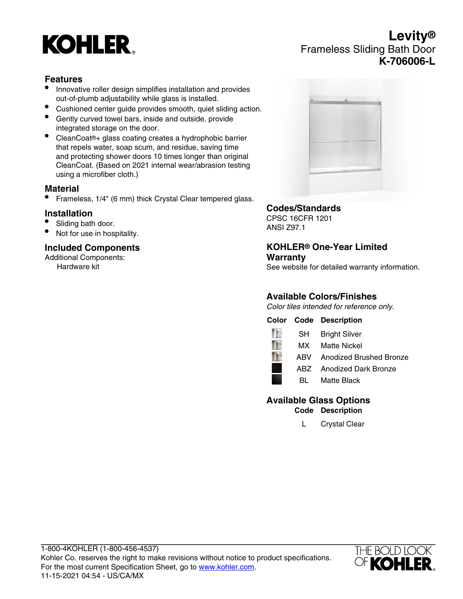# **KOHLER**

# **Levity®** Frameless Sliding Bath Door **K-706006-L**

## **Features**

- Innovative roller design simplifies installation and provides out-of-plumb adjustability while glass is installed.
- Cushioned center guide provides smooth, quiet sliding action.
- Gently curved towel bars, inside and outside, provide integrated storage on the door.
- CleanCoat®+ glass coating creates a hydrophobic barrier that repels water, soap scum, and residue, saving time and protecting shower doors 10 times longer than original CleanCoat. (Based on 2021 internal wear/abrasion testing using a microfiber cloth.)

#### **Material**

• Frameless, 1/4" (6 mm) thick Crystal Clear tempered glass.

#### **Installation**

- Sliding bath door.
- Not for use in hospitality.

### **Included Components**

Additional Components: Hardware kit

| a | $\circ$ | п |  |
|---|---------|---|--|
|   |         |   |  |
|   |         |   |  |
|   |         |   |  |
|   |         |   |  |

#### **Codes/Standards**

CPSC 16CFR 1201 ANSI Z97.1

#### **KOHLER® One-Year Limited Warranty**

See website for detailed warranty information.

## **Available Colors/Finishes**

Color tiles intended for reference only.

## **Color Code Description**



# **Available Glass Options**

**Code Description**

L Crystal Clear